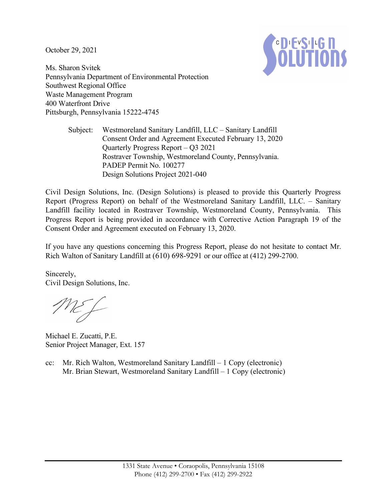October 29, 2021



Ms. Sharon Svitek Pennsylvania Department of Environmental Protection Southwest Regional Office Waste Management Program 400 Waterfront Drive Pittsburgh, Pennsylvania 15222-4745

> Subject: Westmoreland Sanitary Landfill, LLC – Sanitary Landfill Consent Order and Agreement Executed February 13, 2020 Quarterly Progress Report – Q3 2021 Rostraver Township, Westmoreland County, Pennsylvania. PADEP Permit No. 100277 Design Solutions Project 2021-040

Civil Design Solutions, Inc. (Design Solutions) is pleased to provide this Quarterly Progress Report (Progress Report) on behalf of the Westmoreland Sanitary Landfill, LLC. – Sanitary Landfill facility located in Rostraver Township, Westmoreland County, Pennsylvania. This Progress Report is being provided in accordance with Corrective Action Paragraph 19 of the Consent Order and Agreement executed on February 13, 2020.

If you have any questions concerning this Progress Report, please do not hesitate to contact Mr. Rich Walton of Sanitary Landfill at (610) 698-9291 or our office at (412) 299-2700.

Sincerely, Civil Design Solutions, Inc.

NEF

Michael E. Zucatti, P.E. Senior Project Manager, Ext. 157

cc: Mr. Rich Walton, Westmoreland Sanitary Landfill – 1 Copy (electronic) Mr. Brian Stewart, Westmoreland Sanitary Landfill – 1 Copy (electronic)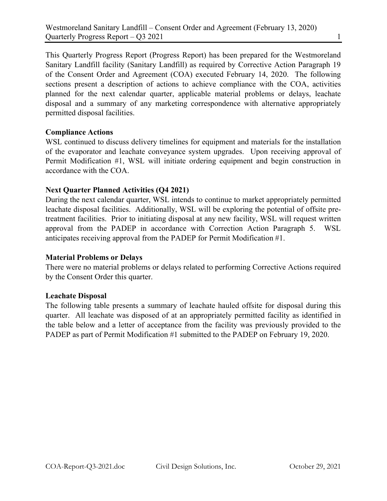This Quarterly Progress Report (Progress Report) has been prepared for the Westmoreland Sanitary Landfill facility (Sanitary Landfill) as required by Corrective Action Paragraph 19 of the Consent Order and Agreement (COA) executed February 14, 2020. The following sections present a description of actions to achieve compliance with the COA, activities planned for the next calendar quarter, applicable material problems or delays, leachate disposal and a summary of any marketing correspondence with alternative appropriately permitted disposal facilities.

# Compliance Actions

WSL continued to discuss delivery timelines for equipment and materials for the installation of the evaporator and leachate conveyance system upgrades. Upon receiving approval of Permit Modification #1, WSL will initiate ordering equipment and begin construction in accordance with the COA.

# Next Quarter Planned Activities (Q4 2021)

During the next calendar quarter, WSL intends to continue to market appropriately permitted leachate disposal facilities. Additionally, WSL will be exploring the potential of offsite pretreatment facilities. Prior to initiating disposal at any new facility, WSL will request written approval from the PADEP in accordance with Correction Action Paragraph 5. WSL anticipates receiving approval from the PADEP for Permit Modification #1.

## Material Problems or Delays

There were no material problems or delays related to performing Corrective Actions required by the Consent Order this quarter.

## Leachate Disposal

The following table presents a summary of leachate hauled offsite for disposal during this quarter. All leachate was disposed of at an appropriately permitted facility as identified in the table below and a letter of acceptance from the facility was previously provided to the PADEP as part of Permit Modification #1 submitted to the PADEP on February 19, 2020.